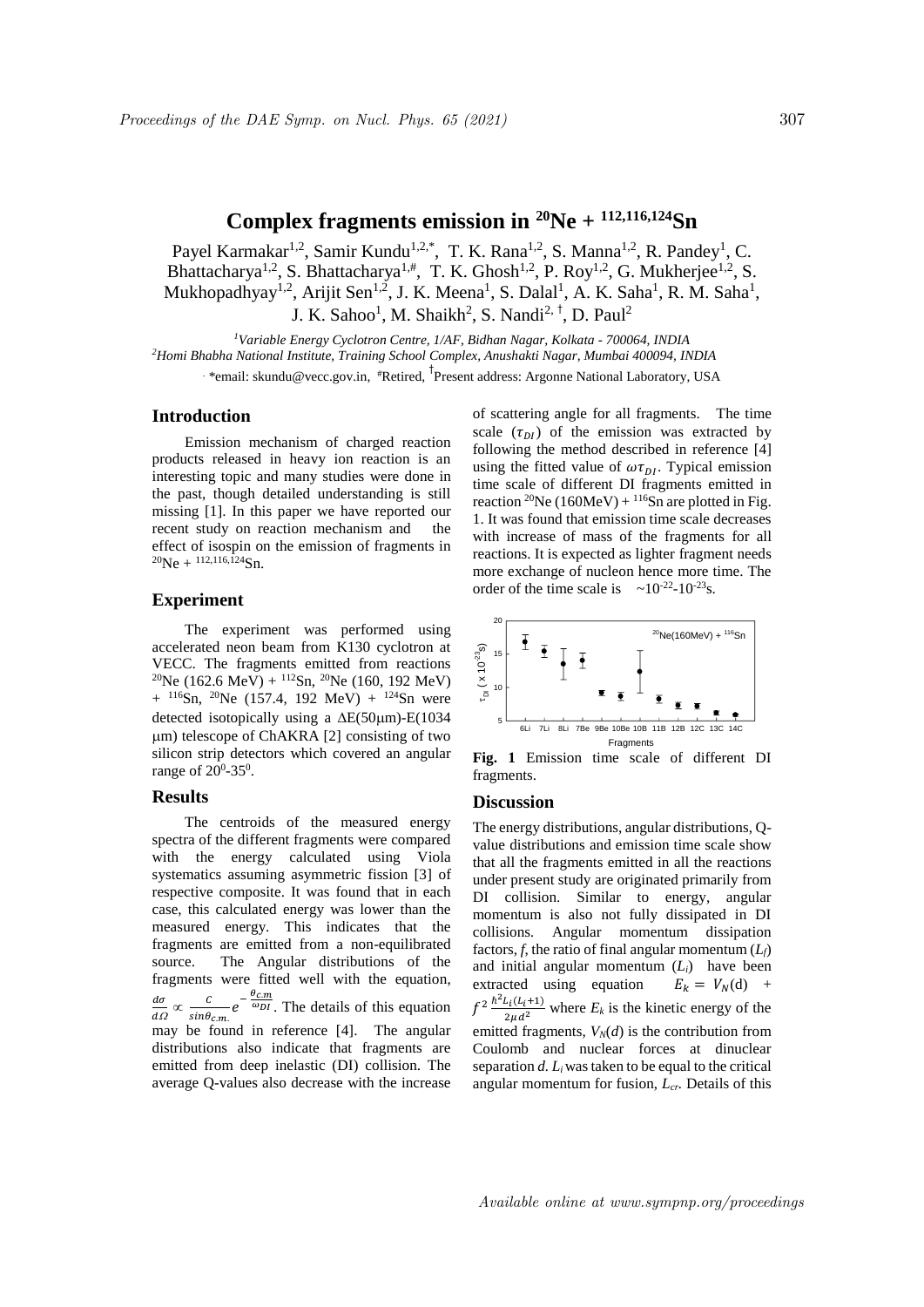# **Complex fragments emission in <sup>20</sup>Ne + 112,116,124Sn**

Payel Karmakar<sup>1,2</sup>, Samir Kundu<sup>1,2,\*</sup>, T. K. Rana<sup>1,2</sup>, S. Manna<sup>1,2</sup>, R. Pandey<sup>1</sup>, C. Bhattacharya<sup>1,2</sup>, S. Bhattacharya<sup>1,#</sup>, T. K. Ghosh<sup>1,2</sup>, P. Roy<sup>1,2</sup>, G. Mukherjee<sup>1,2</sup>, S. Mukhopadhyay<sup>1,2</sup>, Arijit Sen<sup>1,2</sup>, J. K. Meena<sup>1</sup>, S. Dalal<sup>1</sup>, A. K. Saha<sup>1</sup>, R. M. Saha<sup>1</sup>, J. K. Sahoo<sup>1</sup>, M. Shaikh<sup>2</sup>, S. Nandi<sup>2, †</sup>, D. Paul<sup>2</sup>

*<sup>1</sup>Variable Energy Cyclotron Centre, 1/AF, Bidhan Nagar, Kolkata - 700064, INDIA <sup>2</sup>Homi Bhabha National Institute, Training School Complex, Anushakti Nagar, Mumbai 400094, INDIA* . \*email: skundu@vecc.gov.in, #Retired, † Present address: Argonne National Laboratory, USA

#### **Introduction**

Emission mechanism of charged reaction products released in heavy ion reaction is an interesting topic and many studies were done in the past, though detailed understanding is still missing [1]. In this paper we have reported our recent study on reaction mechanism and the effect of isospin on the emission of fragments in  $^{20}Ne + ^{112,116,\overline{1}24}Sn.$ 

# **Experiment**

The experiment was performed using accelerated neon beam from K130 cyclotron at VECC. The fragments emitted from reactions <sup>20</sup>Ne (162.6 MeV) + <sup>112</sup>Sn, <sup>20</sup>Ne (160, 192 MeV)  $+$  <sup>116</sup>Sn, <sup>20</sup>Ne (157.4, 192 MeV) + <sup>124</sup>Sn were detected isotopically using a  $\Delta E(50\mu m)$ -E(1034 m) telescope of ChAKRA [2] consisting of two silicon strip detectors which covered an angular range of  $20^0$ -35<sup>0</sup>.

### **Results**

The centroids of the measured energy spectra of the different fragments were compared with the energy calculated using Viola systematics assuming asymmetric fission [3] of respective composite. It was found that in each case, this calculated energy was lower than the measured energy. This indicates that the fragments are emitted from a non-equilibrated source. The Angular distributions of the fragments were fitted well with the equation,  $d\sigma$  $\overline{d\Omega}$  $\propto \frac{c}{sin \theta_{cm}}$  $\cal C$  $e^{-\frac{C_{cm}}{\omega_{DI}}}$ . The details of this equation  $\theta_{c.m.}$ may be found in reference [4]. The angular distributions also indicate that fragments are emitted from deep inelastic (DI) collision. The average Q-values also decrease with the increase

of scattering angle for all fragments. The time scale  $(\tau_{DI})$  of the emission was extracted by following the method described in reference [4] using the fitted value of  $\omega \tau_{DI}$ . Typical emission time scale of different DI fragments emitted in reaction <sup>20</sup>Ne (160MeV) + <sup>116</sup>S<sub>n</sub> are plotted in Fig. 1. It was found that emission time scale decreases with increase of mass of the fragments for all reactions. It is expected as lighter fragment needs more exchange of nucleon hence more time. The order of the time scale is  $\sim 10^{-22}$ -10<sup>-23</sup>s.



**Fig. 1** Emission time scale of different DI fragments.

#### **Discussion**

The energy distributions, angular distributions, Qvalue distributions and emission time scale show that all the fragments emitted in all the reactions under present study are originated primarily from DI collision. Similar to energy, angular momentum is also not fully dissipated in DI collisions. Angular momentum dissipation factors, *f*, the ratio of final angular momentum  $(L_f)$ and initial angular momentum  $(L_i)$  have been extracted using equation  $E_k = V_N(d) +$  $f^2 \frac{\hbar^2 L_i(L_i+1)}{2\mu d^2}$  where  $E_k$  is the kinetic energy of the emitted fragments,  $V_N(d)$  is the contribution from Coulomb and nuclear forces at dinuclear separation *d. Li*was taken to be equal to the critical angular momentum for fusion, *Lcr.* Details of this